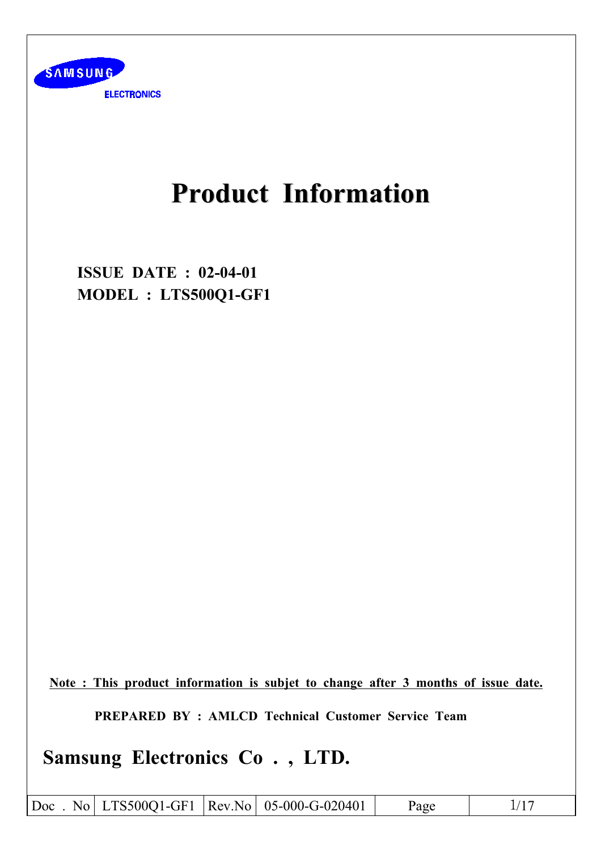

# **Product Information**

**ISSUE DATE: 02-04-01** MODEL : LTS500Q1-GF1

Note: This product information is subjet to change after 3 months of issue date.

**PREPARED BY: AMLCD Technical Customer Service Team** 

Samsung Electronics Co., LTD.

Doc. No LTS500Q1-GF1 |Rev.No 05-000-G-020401 Page  $1/17$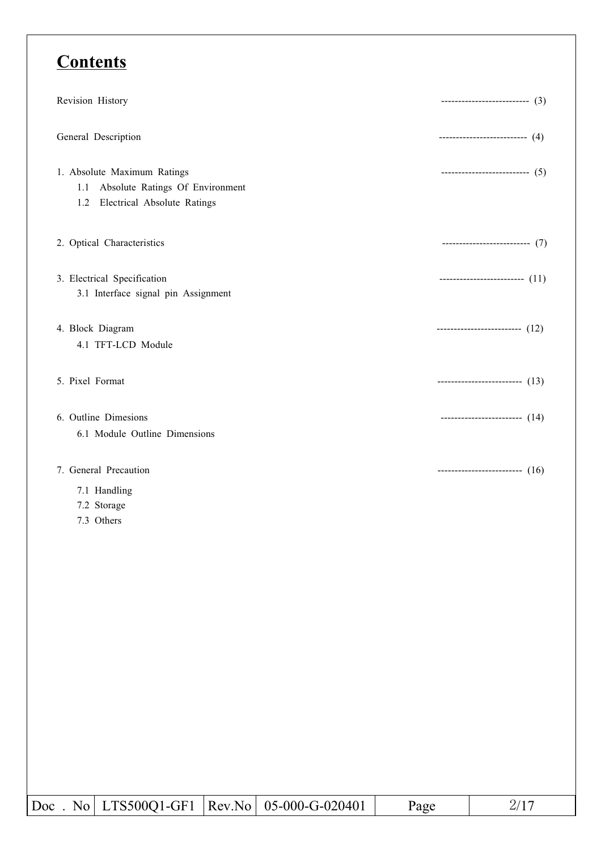## **Contents**

| Revision History                                                                                            | ---------------------------- $(3)$          |
|-------------------------------------------------------------------------------------------------------------|---------------------------------------------|
| General Description                                                                                         | ----------------------------- $(4)$         |
| 1. Absolute Maximum Ratings<br>Absolute Ratings Of Environment<br>1.1<br>Electrical Absolute Ratings<br>1.2 | $\cdots$ ------------------------------ (5) |
| 2. Optical Characteristics                                                                                  | --------------------------- (7)             |
| 3. Electrical Specification<br>3.1 Interface signal pin Assignment                                          | --------------------------- $(11)$          |
| 4. Block Diagram<br>4.1 TFT-LCD Module                                                                      | --------------------------- $(12)$          |
| 5. Pixel Format                                                                                             | $--------------- (13)$                      |
| 6. Outline Dimesions<br>6.1 Module Outline Dimensions                                                       | ------------------------- $(14)$            |
| 7. General Precaution<br>7.1 Handling<br>7.2 Storage                                                        | --------------------------- $(16)$          |

7.3 Others

 $\overline{Doc}$  . No LTS500Q1-GF1 Rev.No 05-000-G-020401 Page  $2/17$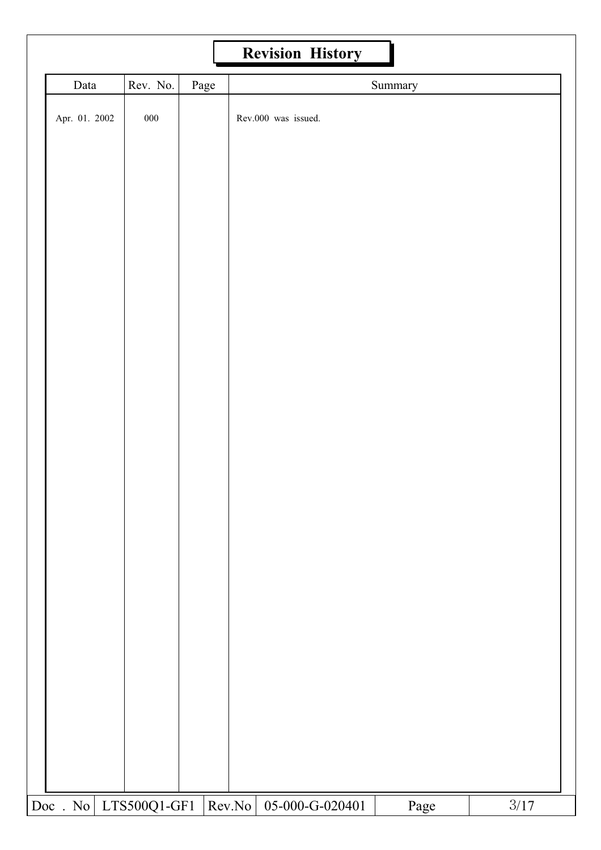|                   |              |      |        | <b>Revision History</b> |         |        |  |
|-------------------|--------------|------|--------|-------------------------|---------|--------|--|
| Data              | Rev. No.     | Page |        |                         | Summary |        |  |
| Apr. 01. 2002     | $000\,$      |      |        | Rev.000 was issued.     |         |        |  |
|                   |              |      |        |                         |         |        |  |
|                   |              |      |        |                         |         |        |  |
|                   |              |      |        |                         |         |        |  |
|                   |              |      |        |                         |         |        |  |
|                   |              |      |        |                         |         |        |  |
|                   |              |      |        |                         |         |        |  |
| $\text{Doc}$ . No | LTS500Q1-GF1 |      | Rev.No | 05-000-G-020401         | Page    | $3/17$ |  |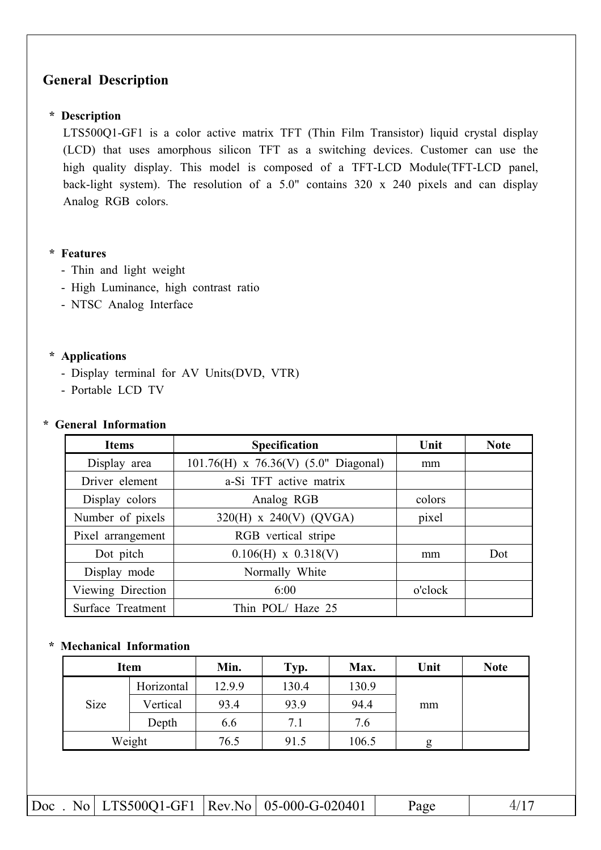## **General Description**

#### \* Description

LTS500Q1-GF1 is a color active matrix TFT (Thin Film Transistor) liquid crystal display (LCD) that uses amorphous silicon TFT as a switching devices. Customer can use the high quality display. This model is composed of a TFT-LCD Module(TFT-LCD panel, back-light system). The resolution of a  $5.0$ " contains  $320 \times 240$  pixels and can display Analog RGB colors.

#### \* Features

- Thin and light weight
- High Luminance, high contrast ratio
- NTSC Analog Interface

#### \* Applications

- Display terminal for AV Units(DVD, VTR)
- Portable LCD TV

#### \* General Information

| <b>Items</b>      | Specification                          | Unit    | <b>Note</b> |
|-------------------|----------------------------------------|---------|-------------|
| Display area      | 101.76(H) x 76.36(V) $(5.0"$ Diagonal) | mm      |             |
| Driver element    | a-Si TFT active matrix                 |         |             |
| Display colors    | Analog RGB                             | colors  |             |
| Number of pixels  | 320(H) x 240(V) (QVGA)                 | pixel   |             |
| Pixel arrangement | RGB vertical stripe                    |         |             |
| Dot pitch         | $0.106(H)$ x $0.318(V)$                | mm      | Dot         |
| Display mode      | Normally White                         |         |             |
| Viewing Direction | 6:00                                   | o'clock |             |
| Surface Treatment | Thin POL/Haze 25                       |         |             |

#### \* Mechanical Information

|      | <b>Item</b> | Min.   | Typ.  | Max.  | Unit | <b>Note</b> |
|------|-------------|--------|-------|-------|------|-------------|
|      | Horizontal  | 12.9.9 | 130.4 | 130.9 |      |             |
| Size | Vertical    | 93.4   | 93.9  | 94.4  | mm   |             |
|      | Depth       | 6.6    | 7.1   | 7.6   |      |             |
|      | Weight      | 76.5   | 91.5  | 106.5 | g    |             |

|  |  |  |  | $ Doc$ . No LTS500Q1-GF1 $ Rev.No $ 05-000-G-020401 | Page |  |
|--|--|--|--|-----------------------------------------------------|------|--|
|--|--|--|--|-----------------------------------------------------|------|--|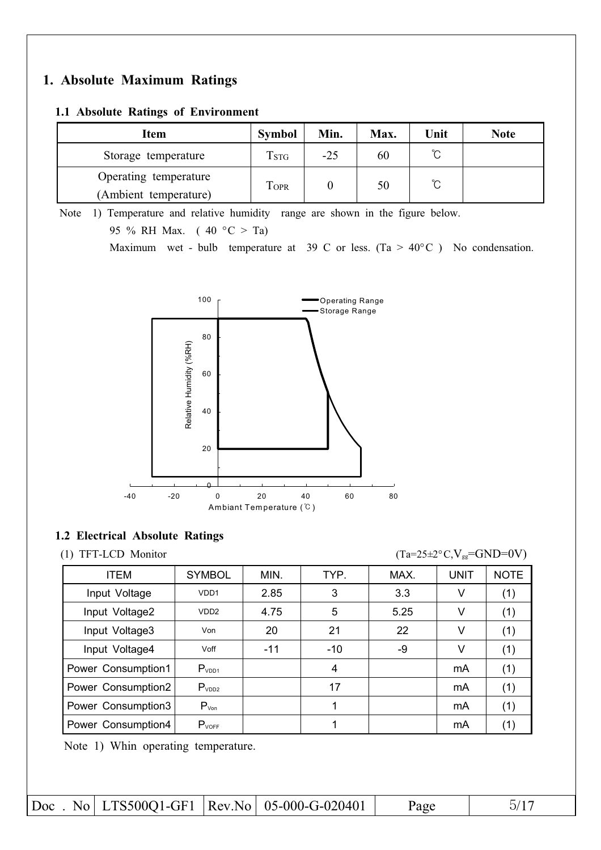## 1. Absolute Maximum Ratings

#### 1.1 Absolute Ratings of Environment

| Item                  | <b>Symbol</b> | Min. | Max. | Unit   | <b>Note</b> |
|-----------------------|---------------|------|------|--------|-------------|
| Storage temperature   | <b>TSTG</b>   | -25  | 60   | ∽<br>◡ |             |
| Operating temperature | <b>TOPR</b>   |      | 50   | ∽      |             |
| (Ambient temperature) |               |      |      | ◡      |             |

Note 1) Temperature and relative humidity range are shown in the figure below. 95 % RH Max.  $(40 °C > Ta)$ 

Maximum wet - bulb temperature at 39 C or less. (Ta >  $40^{\circ}$ C ) No condensation.



#### 1.2 Electrical Absolute Ratings

(1) TFT-LCD Monitor

 $(Ta=25\pm2\degree C, V_{gg}=GND=0V)$ 

| <b>ITEM</b>        | <b>SYMBOL</b>    | MIN.  | TYP.  | MAX. | <b>UNIT</b> | <b>NOTE</b> |
|--------------------|------------------|-------|-------|------|-------------|-------------|
| Input Voltage      | VDD <sub>1</sub> | 2.85  | 3     | 3.3  | V           | (1)         |
| Input Voltage2     | VD <sub>D2</sub> | 4.75  | 5     | 5.25 | V           | (1)         |
| Input Voltage3     | Von              | 20    | 21    | 22   | V           | (1)         |
| Input Voltage4     | Voff             | $-11$ | $-10$ | -9   | V           | (1)         |
| Power Consumption1 | $P_{VDD1}$       |       | 4     |      | mA          | (1)         |
| Power Consumption2 | $P_{VDD2}$       |       | 17    |      | mA          | (1)         |
| Power Consumption3 | $P_{Von}$        |       |       |      | mA          | (1)         |
| Power Consumption4 | $P_{VOFF}$       |       |       |      | mA          | (1)         |
|                    |                  |       |       |      |             |             |

Note 1) Whin operating temperature.

|  |  |  |  | Doc. No LTS500Q1-GF1   Rev.No   05-000-G-020401 | Page |  |
|--|--|--|--|-------------------------------------------------|------|--|
|--|--|--|--|-------------------------------------------------|------|--|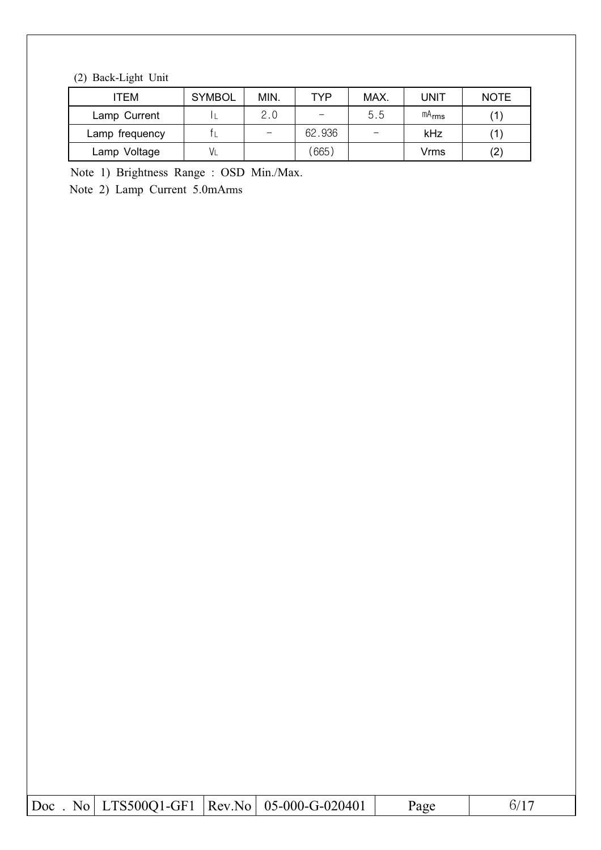## (2) Back-Light Unit

| TEM            | <b>SYMBOL</b> | MIN.                     | TYP    | MAX. | UNIT       | <b>NOTE</b>       |
|----------------|---------------|--------------------------|--------|------|------------|-------------------|
| Lamp Current   |               | 2.0                      |        | 5.5  | $mA_{rms}$ |                   |
| Lamp frequency |               | $\overline{\phantom{0}}$ | 62.936 |      | kHz        |                   |
| Lamp Voltage   |               |                          | 665)   |      | Vrms       | $\left( 2\right)$ |

Note 1) Brightness Range: OSD Min./Max.

Note 2) Lamp Current 5.0mArms

|  |  |  |  | $ Doc$ . No $ LTS500Q1-GF1 $ $ Rev.No $ 05-000-G-020401 | Page |  |
|--|--|--|--|---------------------------------------------------------|------|--|
|--|--|--|--|---------------------------------------------------------|------|--|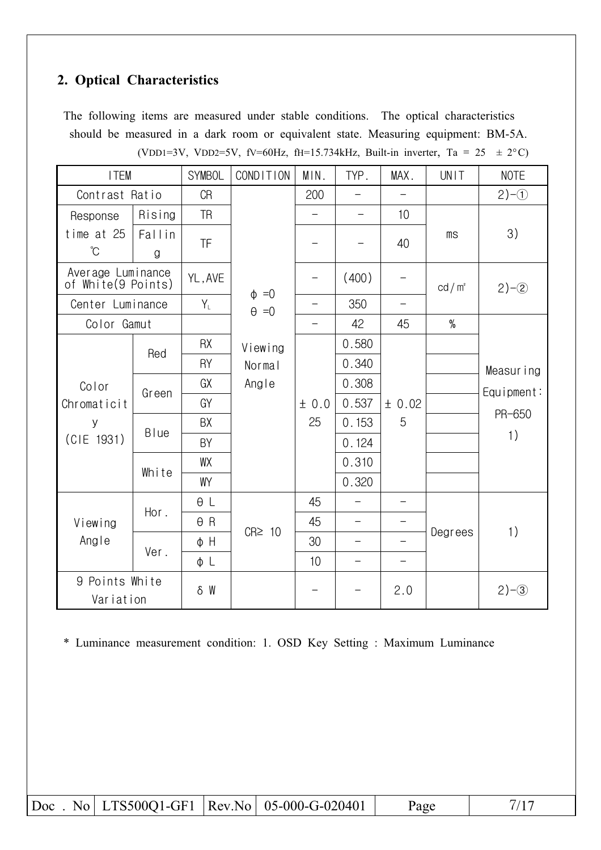## 2. Optical Characteristics

The following items are measured under stable conditions. The optical characteristics should be measured in a dark room or equivalent state. Measuring equipment: BM-5A. (VDD1=3V, VDD2=5V, fV=60Hz, fH=15.734kHz, Built-in inverter, Ta = 25  $\pm$  2°C)

| <b>ITEM</b>                             |              | <b>SYMBOL</b> | COND ITION      | MIN.                     | TYP.                     | MAX.                     | UNIT                   | <b>NOTE</b>             |
|-----------------------------------------|--------------|---------------|-----------------|--------------------------|--------------------------|--------------------------|------------------------|-------------------------|
| Contrast Ratio                          |              | <b>CR</b>     |                 | 200                      |                          |                          |                        | $2)-1$                  |
| Response                                | Rising       | <b>TR</b>     |                 | $\overline{\phantom{0}}$ | $\overline{\phantom{0}}$ | 10                       |                        |                         |
| time at 25<br>$\mathrm{C}^{\circ}$      | Fallin<br>g  | TF            |                 |                          |                          | 40                       | $\mathsf{m}\mathsf{s}$ | 3)                      |
| Average Luminance<br>of White(9 Points) |              | YL, AVE       | $\phi = 0$      | —                        | (400)                    |                          | cd/m <sup>2</sup>      | $2)-2$                  |
| Center Luminance                        |              | $Y_L$         | $\theta = 0$    | $\overline{\phantom{0}}$ | 350                      | $\overline{\phantom{0}}$ |                        |                         |
| Color Gamut                             |              |               |                 | $\overline{\phantom{0}}$ | 42                       | 45                       | $\%$                   |                         |
|                                         | Red          | <b>RX</b>     | Viewing         |                          | 0.580                    |                          |                        |                         |
| Color                                   |              | RY            | Normal<br>Angle |                          | 0.340                    |                          |                        | Measuring<br>Equipment: |
|                                         | Green        | GX            |                 |                          | 0.308                    |                          |                        |                         |
| Chromaticit                             |              | GY            |                 | ± 0.0                    | 0.537                    | ± 0.02                   |                        |                         |
| У                                       | <b>B</b> lue | BX            |                 | 25                       | 0.153                    | 5                        |                        | PR-650<br>1)            |
| (CIE 1931)                              |              | BY            |                 |                          | 0.124                    |                          |                        |                         |
|                                         |              | WX            |                 |                          | 0.310                    |                          |                        |                         |
|                                         | White        | WY            |                 |                          | 0.320                    |                          |                        |                         |
|                                         |              | $\theta L$    |                 | 45                       |                          |                          |                        |                         |
| Viewing                                 | Hor.         | $\theta$ R    |                 | 45                       | $\qquad \qquad -$        |                          |                        |                         |
| Angle                                   |              | φH            | $CR \geq 10$    | 30                       | $\overline{\phantom{0}}$ |                          | Degrees                | 1)                      |
|                                         | Ver.         | φL            |                 | 10                       | $\qquad \qquad -$        |                          |                        |                         |
| 9 Points White<br>Variation             |              | δW            |                 |                          |                          | 2.0                      |                        | $2)-3$                  |

\* Luminance measurement condition: 1. OSD Key Setting : Maximum Luminance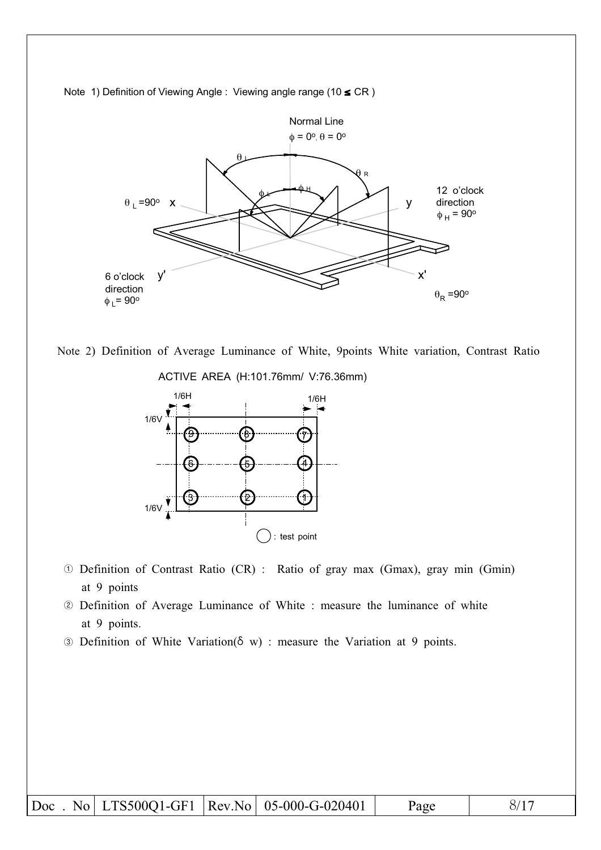

Note 1) Definition of Viewing Angle : Viewing angle range (10 ≤ CR)







- 10 Definition of Contrast Ratio (CR) : Ratio of gray max (Gmax), gray min (Gmin) at 9 points
- 2 Definition of Average Luminance of White : measure the luminance of white at 9 points.
- 3 Definition of White Variation( $\delta$  w) : measure the Variation at 9 points.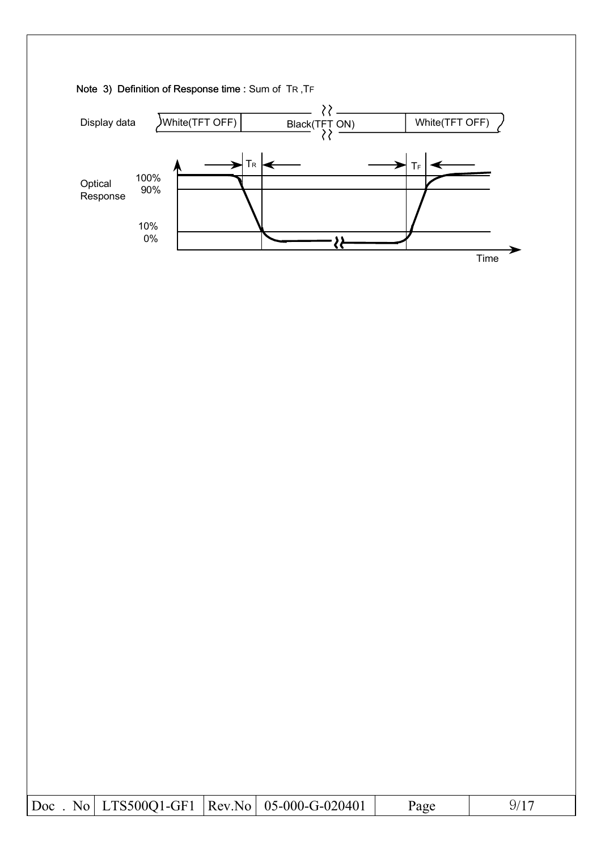



|  |  |  | $\vert$ Doc. No   LTS500Q1-GF1   Rev.No   05-000-G-020401 | Page |  |
|--|--|--|-----------------------------------------------------------|------|--|
|--|--|--|-----------------------------------------------------------|------|--|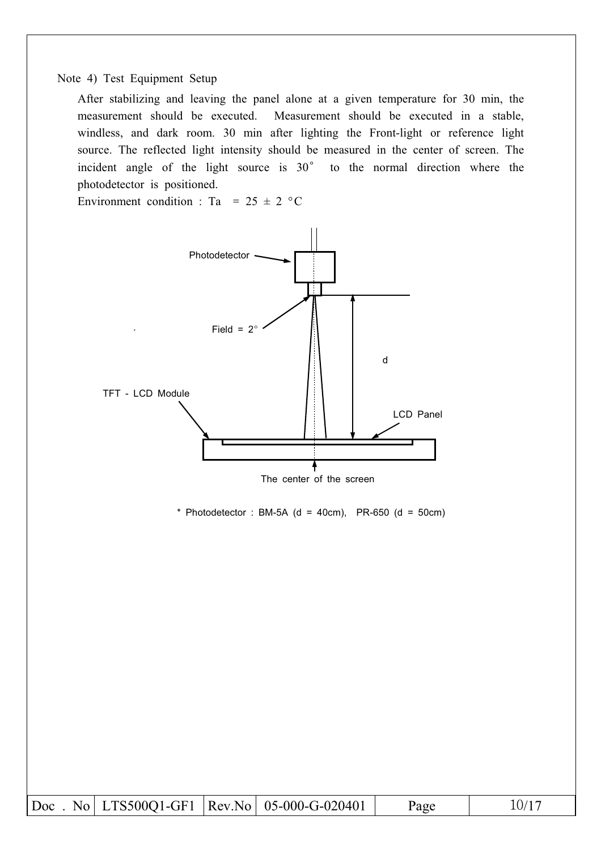#### Note 4) Test Equipment Setup

After stabilizing and leaving the panel alone at a given temperature for 30 min, the measurement should be executed. Measurement should be executed in a stable, windless, and dark room. 30 min after lighting the Front-light or reference light source. The reflected light intensity should be measured in the center of screen. The incident angle of the light source is 30° to the normal direction where the photodetector is positioned.

Environment condition : Ta = 25  $\pm$  2 °C



|  |  |  | Doc. No LTS500Q1-GF1  Rev.No   05-000-G-020401 | Page | 10/17 |
|--|--|--|------------------------------------------------|------|-------|
|--|--|--|------------------------------------------------|------|-------|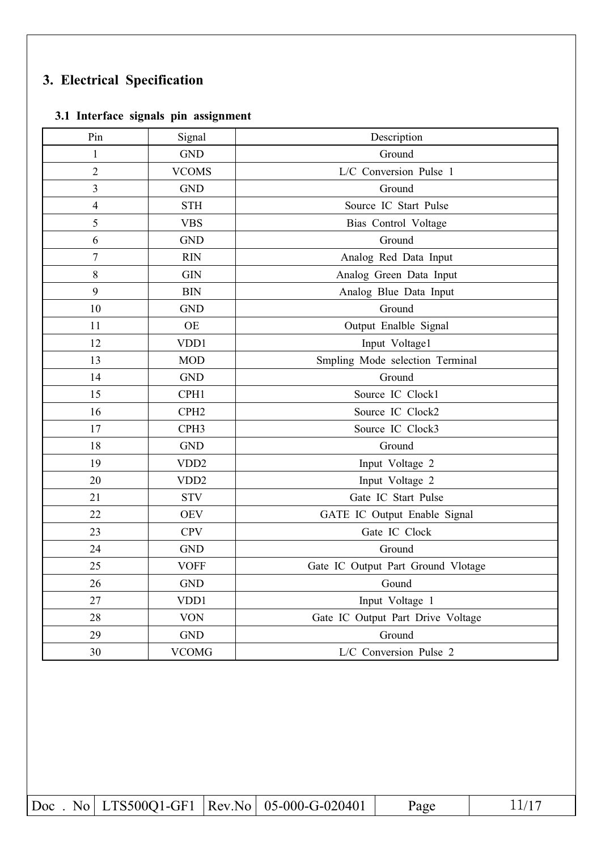## 3. Electrical Specification

### 3.1 Interface signals pin assignment

| Pin              | Signal           | Description                        |
|------------------|------------------|------------------------------------|
| $\mathbf{1}$     | <b>GND</b>       | Ground                             |
| $\overline{2}$   | <b>VCOMS</b>     | L/C Conversion Pulse 1             |
| $\overline{3}$   | <b>GND</b>       | Ground                             |
| $\overline{4}$   | <b>STH</b>       | Source IC Start Pulse              |
| 5                | <b>VBS</b>       | Bias Control Voltage               |
| 6                | <b>GND</b>       | Ground                             |
| $\boldsymbol{7}$ | <b>RIN</b>       | Analog Red Data Input              |
| 8                | <b>GIN</b>       | Analog Green Data Input            |
| 9                | <b>BIN</b>       | Analog Blue Data Input             |
| 10               | <b>GND</b>       | Ground                             |
| 11               | <b>OE</b>        | Output Enalble Signal              |
| 12               | VDD1             | Input Voltage1                     |
| 13               | <b>MOD</b>       | Smpling Mode selection Terminal    |
| 14               | <b>GND</b>       | Ground                             |
| 15               | CPH1             | Source IC Clock1                   |
| 16               | CPH <sub>2</sub> | Source IC Clock2                   |
| 17               | CPH <sub>3</sub> | Source IC Clock3                   |
| 18               | <b>GND</b>       | Ground                             |
| 19               | VDD <sub>2</sub> | Input Voltage 2                    |
| 20               | VDD <sub>2</sub> | Input Voltage 2                    |
| 21               | <b>STV</b>       | Gate IC Start Pulse                |
| 22               | <b>OEV</b>       | GATE IC Output Enable Signal       |
| 23               | <b>CPV</b>       | Gate IC Clock                      |
| 24               | <b>GND</b>       | Ground                             |
| 25               | <b>VOFF</b>      | Gate IC Output Part Ground Vlotage |
| 26               | <b>GND</b>       | Gound                              |
| 27               | VDD1             | Input Voltage 1                    |
| 28               | <b>VON</b>       | Gate IC Output Part Drive Voltage  |
| 29               | <b>GND</b>       | Ground                             |
| 30               | <b>VCOMG</b>     | L/C Conversion Pulse 2             |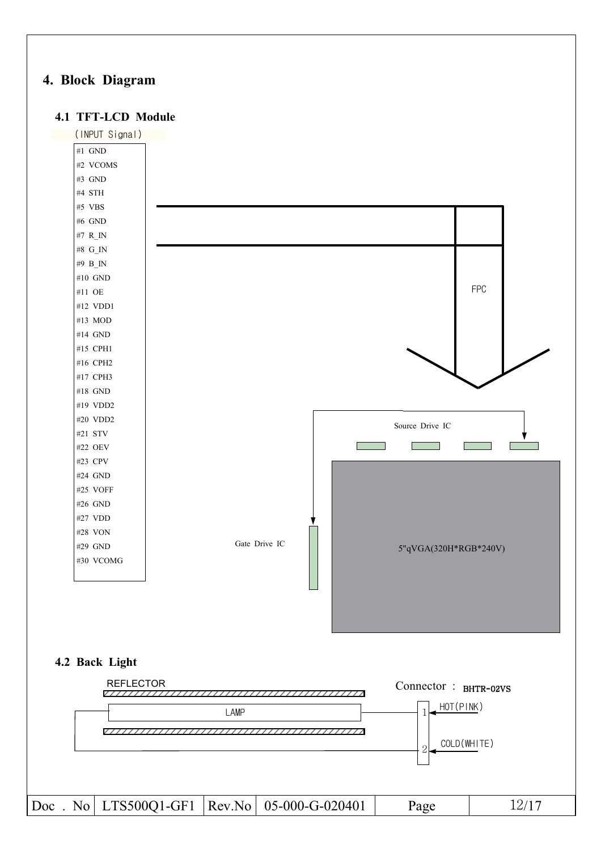## 4. Block Diagram

#### 4.1 TFT-LCD Module

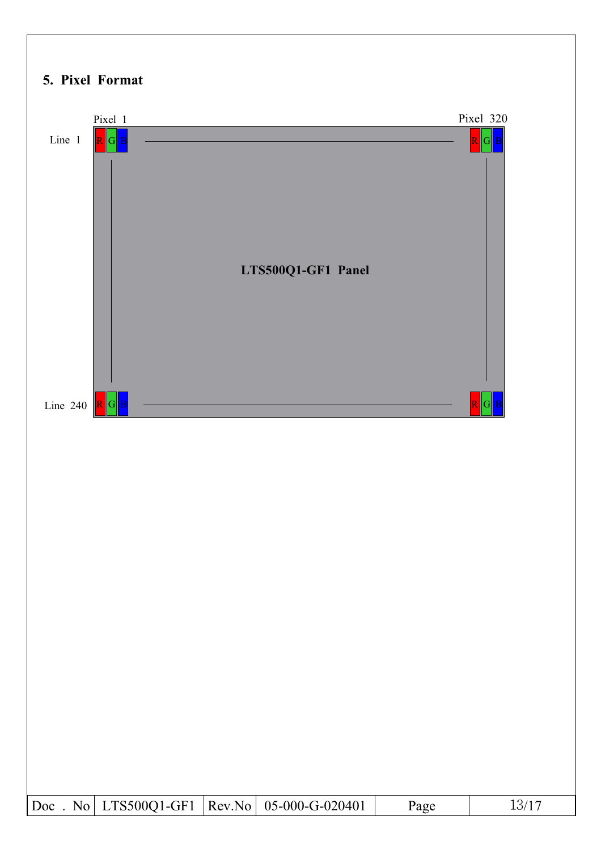## 5. Pixel Format

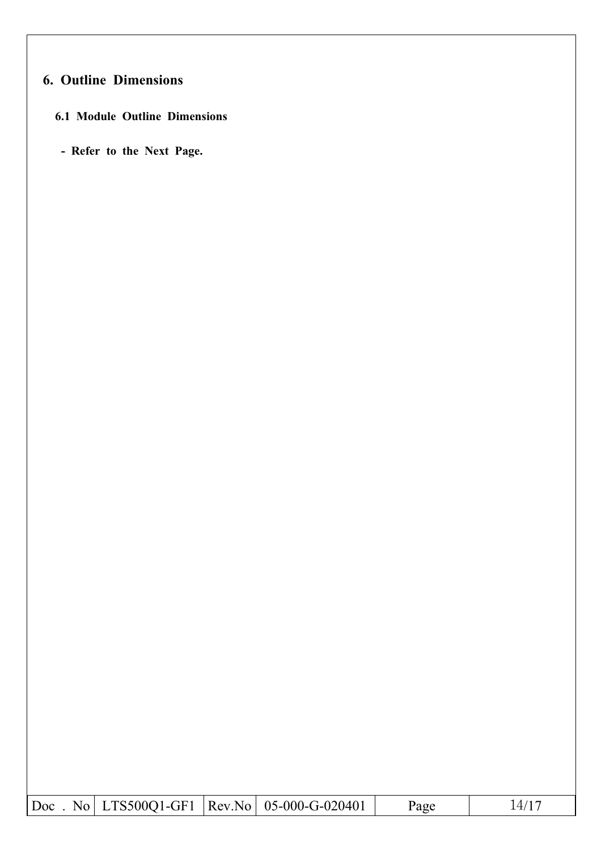## **6. Outline Dimensions**

## **6.1 Module Outline Dimensions**

- Refer to the Next Page.

|  | $ Doc$ . No $ LTS500Q1-GF1 $ $ Rev.No $ 05-000-G-020401 | Page | 14/17 |
|--|---------------------------------------------------------|------|-------|
|  |                                                         |      |       |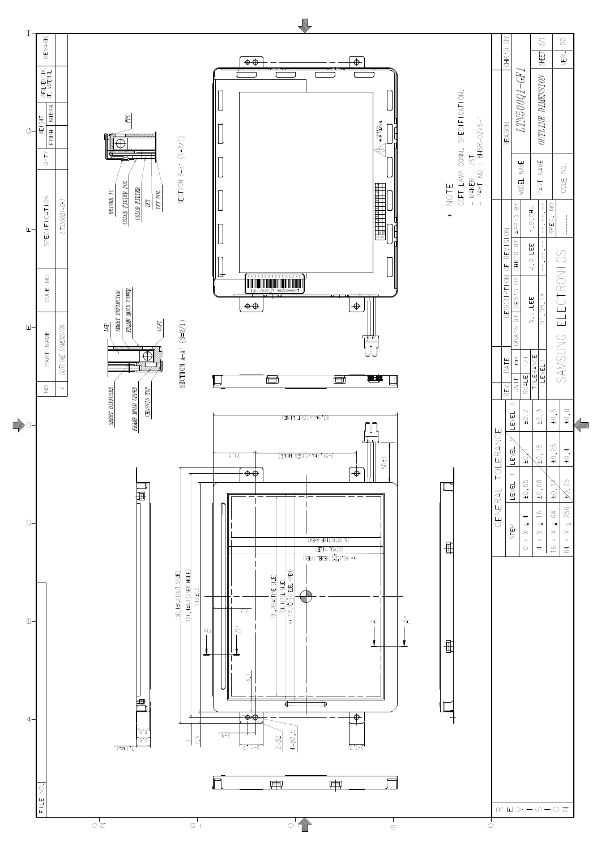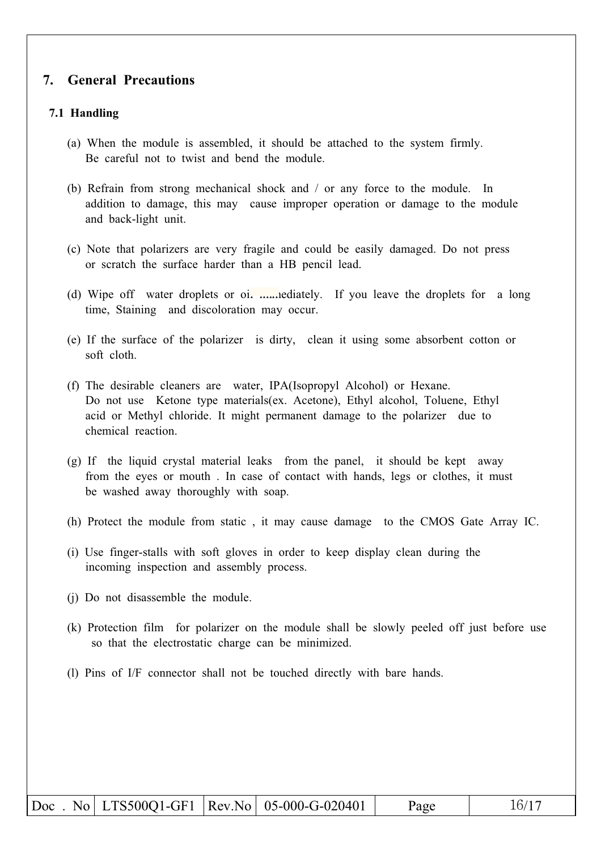#### 7. **General Precautions**

#### 7.1 Handling

- (a) When the module is assembled, it should be attached to the system firmly. Be careful not to twist and bend the module.
- (b) Refrain from strong mechanical shock and  $\ell$  or any force to the module. In addition to damage, this may cause improper operation or damage to the module and back-light unit.
- (c) Note that polarizers are very fragile and could be easily damaged. Do not press or scratch the surface harder than a HB pencil lead.
- (d) Wipe off water droplets or oi, *maneliately*. If you leave the droplets for a long time, Staining and discoloration may occur.
- (e) If the surface of the polarizer is dirty, clean it using some absorbent cotton or soft cloth
- (f) The desirable cleaners are water, IPA(Isopropyl Alcohol) or Hexane. Do not use Ketone type materials (ex. Acetone), Ethyl alcohol, Toluene, Ethyl acid or Methyl chloride. It might permanent damage to the polarizer due to chemical reaction.
- (g) If the liquid crystal material leaks from the panel, it should be kept away from the eyes or mouth. In case of contact with hands, legs or clothes, it must be washed away thoroughly with soap.
- (h) Protect the module from static, it may cause damage to the CMOS Gate Array IC.
- (i) Use finger-stalls with soft gloves in order to keep display clean during the incoming inspection and assembly process.
- (i) Do not disassemble the module.
- (k) Protection film for polarizer on the module shall be slowly peeled off just before use so that the electrostatic charge can be minimized.
- (1) Pins of I/F connector shall not be touched directly with bare hands.